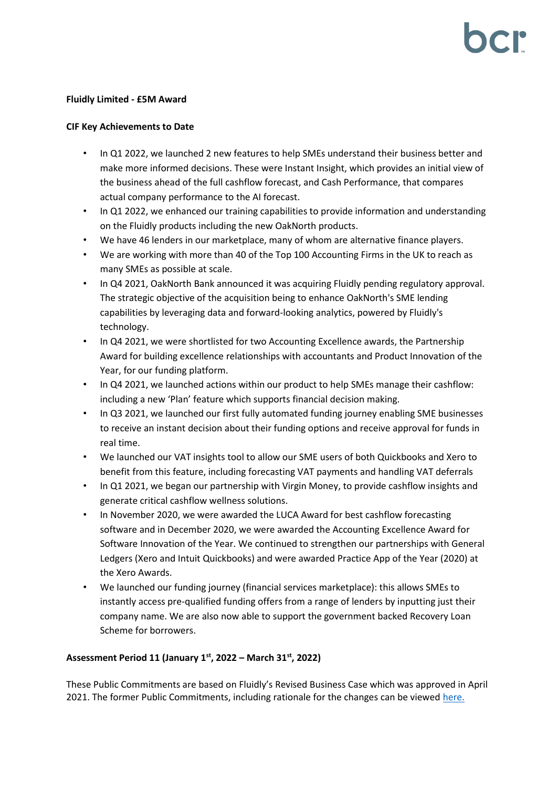#### **Fluidly Limited - £5M Award**

#### **CIF Key Achievements to Date**

- In Q1 2022, we launched 2 new features to help SMEs understand their business better and make more informed decisions. These were Instant Insight, which provides an initial view of the business ahead of the full cashflow forecast, and Cash Performance, that compares actual company performance to the AI forecast.
- In Q1 2022, we enhanced our training capabilities to provide information and understanding on the Fluidly products including the new OakNorth products.
- We have 46 lenders in our marketplace, many of whom are alternative finance players.
- We are working with more than 40 of the Top 100 Accounting Firms in the UK to reach as many SMEs as possible at scale.
- In Q4 2021, OakNorth Bank announced it was acquiring Fluidly pending regulatory approval. The strategic objective of the acquisition being to enhance OakNorth's SME lending capabilities by leveraging data and forward-looking analytics, powered by Fluidly's technology.
- In Q4 2021, we were shortlisted for two Accounting Excellence awards, the Partnership Award for building excellence relationships with accountants and Product Innovation of the Year, for our funding platform.
- In Q4 2021, we launched actions within our product to help SMEs manage their cashflow: including a new 'Plan' feature which supports financial decision making.
- In Q3 2021, we launched our first fully automated funding journey enabling SME businesses to receive an instant decision about their funding options and receive approval for funds in real time.
- We launched our VAT insights tool to allow our SME users of both Quickbooks and Xero to benefit from this feature, including forecasting VAT payments and handling VAT deferrals
- In Q1 2021, we began our partnership with Virgin Money, to provide cashflow insights and generate critical cashflow wellness solutions.
- In November 2020, we were awarded the LUCA Award for best cashflow forecasting software and in December 2020, we were awarded the Accounting Excellence Award for Software Innovation of the Year. We continued to strengthen our partnerships with General Ledgers (Xero and Intuit Quickbooks) and were awarded Practice App of the Year (2020) at the Xero Awards.
- We launched our funding journey (financial services marketplace): this allows SMEs to instantly access pre-qualified funding offers from a range of lenders by inputting just their company name. We are also now able to support the government backed Recovery Loan Scheme for borrowers.

## **Assessment Period 11 (January 1st, 2022 – March 31st, 2022)**

These Public Commitments are based on Fluidly's Revised Business Case which was approved in April 2021. The former Public Commitments, including rationale for the changes can be viewed [here.](https://bcr-ltd.com/wp-content/uploads/2021/05/Fluidly-Limited_Public-Commitment-Update_Q121v1.0.pdf)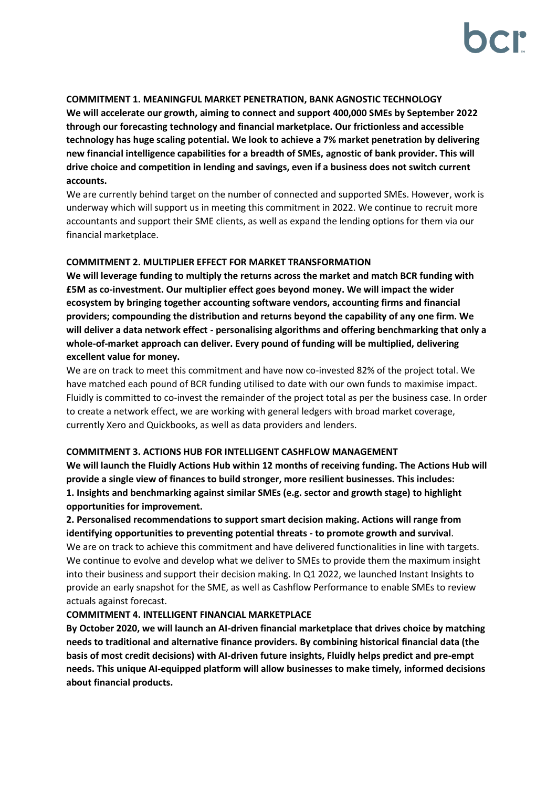#### **COMMITMENT 1. MEANINGFUL MARKET PENETRATION, BANK AGNOSTIC TECHNOLOGY**

**We will accelerate our growth, aiming to connect and support 400,000 SMEs by September 2022 through our forecasting technology and financial marketplace. Our frictionless and accessible technology has huge scaling potential. We look to achieve a 7% market penetration by delivering new financial intelligence capabilities for a breadth of SMEs, agnostic of bank provider. This will drive choice and competition in lending and savings, even if a business does not switch current accounts.**

We are currently behind target on the number of connected and supported SMEs. However, work is underway which will support us in meeting this commitment in 2022. We continue to recruit more accountants and support their SME clients, as well as expand the lending options for them via our financial marketplace.

## **COMMITMENT 2. MULTIPLIER EFFECT FOR MARKET TRANSFORMATION**

**We will leverage funding to multiply the returns across the market and match BCR funding with £5M as co-investment. Our multiplier effect goes beyond money. We will impact the wider ecosystem by bringing together accounting software vendors, accounting firms and financial providers; compounding the distribution and returns beyond the capability of any one firm. We will deliver a data network effect - personalising algorithms and offering benchmarking that only a whole-of-market approach can deliver. Every pound of funding will be multiplied, delivering excellent value for money.**

We are on track to meet this commitment and have now co-invested 82% of the project total. We have matched each pound of BCR funding utilised to date with our own funds to maximise impact. Fluidly is committed to co-invest the remainder of the project total as per the business case. In order to create a network effect, we are working with general ledgers with broad market coverage, currently Xero and Quickbooks, as well as data providers and lenders.

## **COMMITMENT 3. ACTIONS HUB FOR INTELLIGENT CASHFLOW MANAGEMENT**

**We will launch the Fluidly Actions Hub within 12 months of receiving funding. The Actions Hub will provide a single view of finances to build stronger, more resilient businesses. This includes: 1. Insights and benchmarking against similar SMEs (e.g. sector and growth stage) to highlight opportunities for improvement.** 

# **2. Personalised recommendations to support smart decision making. Actions will range from identifying opportunities to preventing potential threats - to promote growth and survival**.

We are on track to achieve this commitment and have delivered functionalities in line with targets. We continue to evolve and develop what we deliver to SMEs to provide them the maximum insight into their business and support their decision making. In Q1 2022, we launched Instant Insights to provide an early snapshot for the SME, as well as Cashflow Performance to enable SMEs to review actuals against forecast.

## **COMMITMENT 4. INTELLIGENT FINANCIAL MARKETPLACE**

**By October 2020, we will launch an AI-driven financial marketplace that drives choice by matching needs to traditional and alternative finance providers. By combining historical financial data (the basis of most credit decisions) with AI-driven future insights, Fluidly helps predict and pre-empt needs. This unique AI-equipped platform will allow businesses to make timely, informed decisions about financial products.**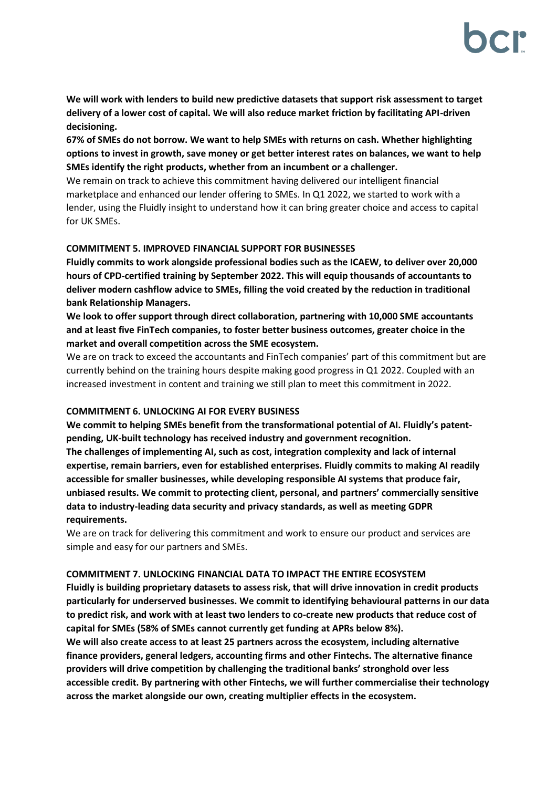**We will work with lenders to build new predictive datasets that support risk assessment to target delivery of a lower cost of capital. We will also reduce market friction by facilitating API-driven decisioning.** 

**67% of SMEs do not borrow. We want to help SMEs with returns on cash. Whether highlighting options to invest in growth, save money or get better interest rates on balances, we want to help SMEs identify the right products, whether from an incumbent or a challenger.**

We remain on track to achieve this commitment having delivered our intelligent financial marketplace and enhanced our lender offering to SMEs. In Q1 2022, we started to work with a lender, using the Fluidly insight to understand how it can bring greater choice and access to capital for UK SMEs.

# **COMMITMENT 5. IMPROVED FINANCIAL SUPPORT FOR BUSINESSES**

**Fluidly commits to work alongside professional bodies such as the ICAEW, to deliver over 20,000 hours of CPD-certified training by September 2022. This will equip thousands of accountants to deliver modern cashflow advice to SMEs, filling the void created by the reduction in traditional bank Relationship Managers.** 

**We look to offer support through direct collaboration, partnering with 10,000 SME accountants and at least five FinTech companies, to foster better business outcomes, greater choice in the market and overall competition across the SME ecosystem.**

We are on track to exceed the accountants and FinTech companies' part of this commitment but are currently behind on the training hours despite making good progress in Q1 2022. Coupled with an increased investment in content and training we still plan to meet this commitment in 2022.

## **COMMITMENT 6. UNLOCKING AI FOR EVERY BUSINESS**

**We commit to helping SMEs benefit from the transformational potential of AI. Fluidly's patentpending, UK-built technology has received industry and government recognition. The challenges of implementing AI, such as cost, integration complexity and lack of internal expertise, remain barriers, even for established enterprises. Fluidly commits to making AI readily accessible for smaller businesses, while developing responsible AI systems that produce fair, unbiased results. We commit to protecting client, personal, and partners' commercially sensitive data to industry-leading data security and privacy standards, as well as meeting GDPR requirements.**

We are on track for delivering this commitment and work to ensure our product and services are simple and easy for our partners and SMEs.

## **COMMITMENT 7. UNLOCKING FINANCIAL DATA TO IMPACT THE ENTIRE ECOSYSTEM**

**Fluidly is building proprietary datasets to assess risk, that will drive innovation in credit products particularly for underserved businesses. We commit to identifying behavioural patterns in our data to predict risk, and work with at least two lenders to co-create new products that reduce cost of capital for SMEs (58% of SMEs cannot currently get funding at APRs below 8%).** 

**We will also create access to at least 25 partners across the ecosystem, including alternative finance providers, general ledgers, accounting firms and other Fintechs. The alternative finance providers will drive competition by challenging the traditional banks' stronghold over less accessible credit. By partnering with other Fintechs, we will further commercialise their technology across the market alongside our own, creating multiplier effects in the ecosystem.**